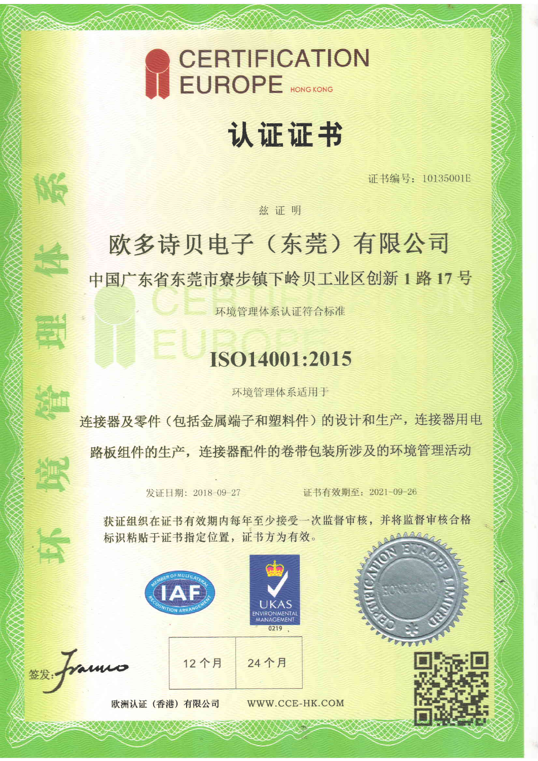

## 认证证书

证书编号: 10135001E

### 兹证明

### 欧多诗贝电子(东莞)有限公司 中国广东省东莞市寮步镇下岭贝工业区创新1路17号

环境管理体系认证符合标准

### ISO14001:2015

环境管理体系适用于

连接器及零件(包括金属端子和塑料件)的设计和生产,连接器用电 路板组件的生产,连接器配件的卷带包装所涉及的环境管理活动

发证日期: 2018-09-27

证书有效期至: 2021-09-26

获证组织在证书有效期内每年至少接受一次监督审核,并将监督审核合格 标识粘贴于证书指定位置, 证书方为有效。